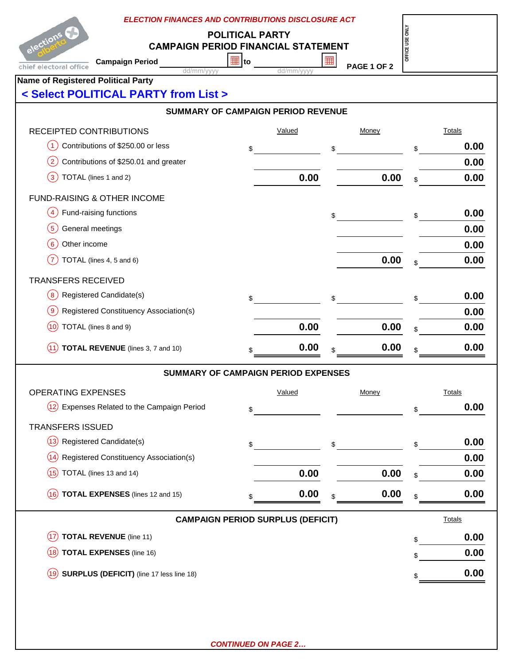| elections C                                                | <b>ELECTION FINANCES AND CONTRIBUTIONS DISCLOSURE ACT</b><br><b>POLITICAL PARTY</b><br><b>CAMPAIGN PERIOD FINANCIAL STATEMENT</b> |                                            |            |    |              |                 |               |  |  |  |  |
|------------------------------------------------------------|-----------------------------------------------------------------------------------------------------------------------------------|--------------------------------------------|------------|----|--------------|-----------------|---------------|--|--|--|--|
|                                                            |                                                                                                                                   | ⊞ to                                       |            | 丽  |              | OFFICE USE ONLY |               |  |  |  |  |
| chief electoral office                                     | <b>Campaign Period</b><br>dd/mm/vvvv                                                                                              |                                            | dd/mm/yyyy |    | PAGE 1 OF 2  |                 |               |  |  |  |  |
| <b>Name of Registered Political Party</b>                  |                                                                                                                                   |                                            |            |    |              |                 |               |  |  |  |  |
| < Select POLITICAL PARTY from List >                       |                                                                                                                                   |                                            |            |    |              |                 |               |  |  |  |  |
| <b>SUMMARY OF CAMPAIGN PERIOD REVENUE</b>                  |                                                                                                                                   |                                            |            |    |              |                 |               |  |  |  |  |
| RECEIPTED CONTRIBUTIONS                                    |                                                                                                                                   |                                            | Valued     |    | Money        |                 | <b>Totals</b> |  |  |  |  |
| Contributions of \$250.00 or less<br>$\left( 1\right)$     |                                                                                                                                   | \$                                         |            | \$ |              | \$              | 0.00          |  |  |  |  |
| Contributions of \$250.01 and greater<br>$\left( 2\right)$ |                                                                                                                                   |                                            |            |    |              |                 | 0.00          |  |  |  |  |
| $\left(3\right)$<br>TOTAL (lines 1 and 2)                  |                                                                                                                                   |                                            | 0.00       |    | 0.00         | \$              | 0.00          |  |  |  |  |
| FUND-RAISING & OTHER INCOME                                |                                                                                                                                   |                                            |            |    |              |                 |               |  |  |  |  |
| Fund-raising functions<br>$\left( 4\right)$                |                                                                                                                                   |                                            |            | \$ |              | \$              | 0.00          |  |  |  |  |
| (5)<br>General meetings                                    |                                                                                                                                   |                                            |            |    |              |                 | 0.00          |  |  |  |  |
| $6 \overline{6}$<br>Other income                           |                                                                                                                                   |                                            |            |    |              |                 | 0.00          |  |  |  |  |
| (7)<br>TOTAL (lines 4, 5 and 6)                            |                                                                                                                                   |                                            |            |    | 0.00         | \$              | 0.00          |  |  |  |  |
| <b>TRANSFERS RECEIVED</b>                                  |                                                                                                                                   |                                            |            |    |              |                 |               |  |  |  |  |
| $\left(8\right)$<br>Registered Candidate(s)                |                                                                                                                                   | \$                                         |            | \$ |              | \$              | 0.00          |  |  |  |  |
| Registered Constituency Association(s)<br>$\left(9\right)$ |                                                                                                                                   |                                            |            |    |              |                 | 0.00          |  |  |  |  |
| TOTAL (lines 8 and 9)<br>(10)                              |                                                                                                                                   |                                            | 0.00       |    | 0.00         | \$              | 0.00          |  |  |  |  |
| (11)                                                       | TOTAL REVENUE (lines 3, 7 and 10)                                                                                                 |                                            | 0.00       |    | 0.00         | \$              | 0.00          |  |  |  |  |
|                                                            |                                                                                                                                   | <b>SUMMARY OF CAMPAIGN PERIOD EXPENSES</b> |            |    |              |                 |               |  |  |  |  |
| OPERATING EXPENSES                                         |                                                                                                                                   |                                            | Valued     |    | <b>Money</b> |                 | <b>Totals</b> |  |  |  |  |
| (12)<br>Expenses Related to the Campaign Period            |                                                                                                                                   | \$                                         |            |    |              | \$              | 0.00          |  |  |  |  |
| <b>TRANSFERS ISSUED</b>                                    |                                                                                                                                   |                                            |            |    |              |                 |               |  |  |  |  |
| (13)<br>Registered Candidate(s)                            |                                                                                                                                   |                                            |            |    |              |                 | 0.00          |  |  |  |  |
| Registered Constituency Association(s)<br>(14)             |                                                                                                                                   | \$                                         |            | \$ |              | \$              | 0.00          |  |  |  |  |
| TOTAL (lines 13 and 14)<br>(15)                            |                                                                                                                                   |                                            | 0.00       |    | 0.00         | \$              | 0.00          |  |  |  |  |
| (16)                                                       | <b>TOTAL EXPENSES</b> (lines 12 and 15)                                                                                           |                                            | 0.00       |    | 0.00         |                 | 0.00          |  |  |  |  |
|                                                            |                                                                                                                                   |                                            |            |    |              | \$              |               |  |  |  |  |
|                                                            |                                                                                                                                   | <b>CAMPAIGN PERIOD SURPLUS (DEFICIT)</b>   |            |    |              |                 | <b>Totals</b> |  |  |  |  |
| <b>TOTAL REVENUE</b> (line 11)<br>(17)                     |                                                                                                                                   |                                            |            |    |              | \$              | 0.00          |  |  |  |  |
| <b>TOTAL EXPENSES (line 16)</b><br>(18)                    |                                                                                                                                   |                                            |            |    |              | \$              | 0.00          |  |  |  |  |
| SURPLUS (DEFICIT) (line 17 less line 18)<br>(19)           |                                                                                                                                   |                                            |            |    |              | \$              | 0.00          |  |  |  |  |
|                                                            |                                                                                                                                   |                                            |            |    |              |                 |               |  |  |  |  |
|                                                            |                                                                                                                                   |                                            |            |    |              |                 |               |  |  |  |  |
|                                                            |                                                                                                                                   |                                            |            |    |              |                 |               |  |  |  |  |